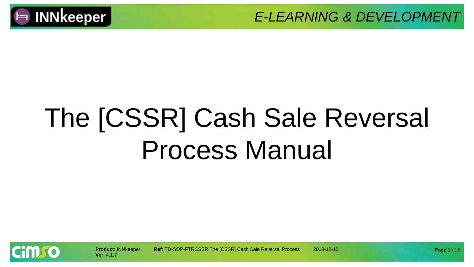

# The [CSSR] Cash Sale Reversal Process Manual

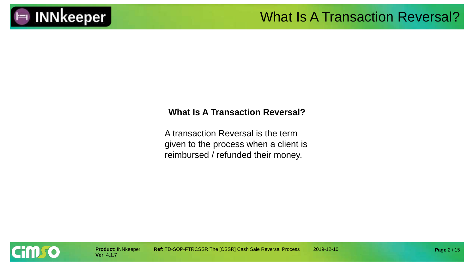

#### **What Is A Transaction Reversal?**

A transaction Reversal is the term given to the process when a client is reimbursed / refunded their money.

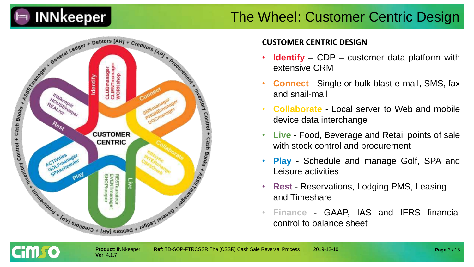

#### The Wheel: Customer Centric Design



**Ver**: 4.1.7

cim so

#### **CUSTOMER CENTRIC DESIGN**

- **Identify** CDP customer data platform with extensive CRM
- **Connect** Single or bulk blast e-mail, SMS, fax and snail-mail
- **Collaborate** Local server to Web and mobile device data interchange
- **Live** Food, Beverage and Retail points of sale with stock control and procurement
- **Play** Schedule and manage Golf, SPA and Leisure activities
- **Rest** Reservations, Lodging PMS, Leasing and Timeshare
- **Finance** GAAP, IAS and IFRS financial control to balance sheet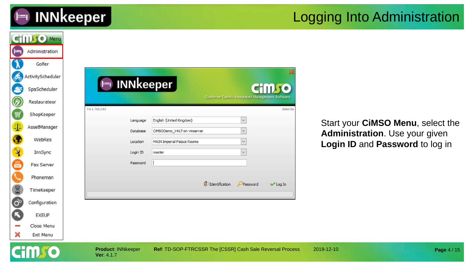

#### Logging Into Administration

| $\vdash$                         | <b>CHILLIO Menu</b><br>Administration                       |                                         |                                             |                                                                          |                                                                     |  |
|----------------------------------|-------------------------------------------------------------|-----------------------------------------|---------------------------------------------|--------------------------------------------------------------------------|---------------------------------------------------------------------|--|
| கூ<br>S                          | Golfer<br>ActivityScheduler<br>SpaScheduler<br>Restaurateur | $\vdash$                                | <b>INNkeeper</b>                            | <b>CHILLIO</b><br><b>Customer Centric Integrated Management Software</b> |                                                                     |  |
| Ø<br>冒                           | ShopKeeper                                                  | V4.1.7b11143                            | English (United Kingdom)                    | 8d647da<br>$\ddotmark$                                                   |                                                                     |  |
| $\Phi$                           | AssetManager                                                | Language<br>Database                    | CIMSODemo_V417 on vmserver                  | $\checkmark$                                                             | Start your CiMSO Menu, select the<br>Administration. Use your given |  |
| $\bullet$                        | WebRes<br>InnSync                                           | Location<br>Login ID                    | <b>MAIN Imperial Palace Rooms</b><br>master |                                                                          | Login ID and Password to log in                                     |  |
|                                  | Fax Server                                                  | Password                                |                                             |                                                                          |                                                                     |  |
|                                  | Phoneman                                                    |                                         |                                             | <b>S</b> O Identification<br>Password<br>Log In                          |                                                                     |  |
| 8<br>$\ddot{\mathbf{O}}^{\circ}$ | TimeKeeper                                                  |                                         |                                             |                                                                          |                                                                     |  |
| ß                                | Configuration<br><b>EXEUP</b>                               |                                         |                                             |                                                                          |                                                                     |  |
| ×                                | Close Menu<br>Exit Menu                                     |                                         |                                             |                                                                          |                                                                     |  |
|                                  |                                                             | <b>Product: INNkeeper</b><br>Ver: 4.1.7 |                                             | Ref: TD-SOP-FTRCSSR The [CSSR] Cash Sale Reversal Process                | 2019-12-10<br>Page 4 / 15                                           |  |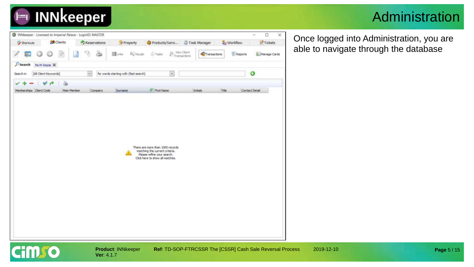#### Administration



**Ver**: 4.1.7

**Product**: INNkeeper **Ref**: TD-SOP-FTRCSSR The [CSSR] Cash Sale Reversal Process 2019-12-10

Once logged into Administration, you are able to navigate through the database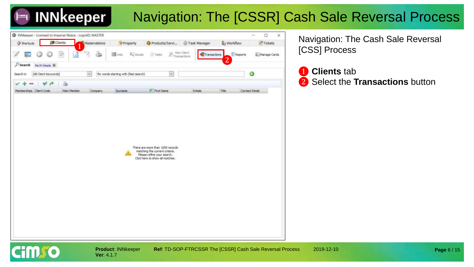### Navigation: The [CSSR] Cash Sale Reversal Process



Navigation: The Cash Sale Reversal [CSS] Process

❶ **Clients** tab ❷ Select the **Transactions** button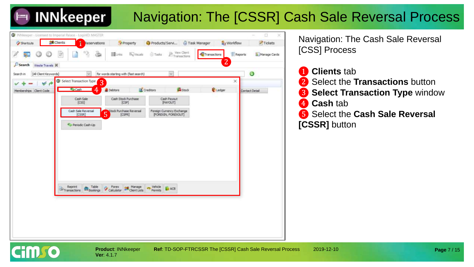### Navigation: The [CSSR] Cash Sale Reversal Process



Navigation: The Cash Sale Reversal [CSS] Process

- ❶ **Clients** tab
- ❷ Select the **Transactions** button
- ❸ **Select Transaction Type** window
- **Cash** tab
- ❺ Select the **Cash Sale Reversal [CSSR]** button

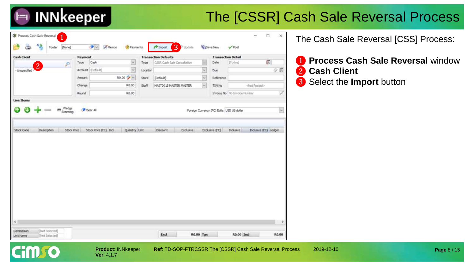#### The [CSSR] Cash Sale Reversal Process

| <b>Cash Client</b>                           | Payment            |                                                      |              | <b>Transaction Defaults</b> |              | <b>Transaction Detail</b>                                   |                              |                         |
|----------------------------------------------|--------------------|------------------------------------------------------|--------------|-----------------------------|--------------|-------------------------------------------------------------|------------------------------|-------------------------|
| $\mathcal{P}$                                | Type               | $\mathcal{L}$<br>Cash                                | Type         | CSSR Cash Sale Cancellation | ×            | Date                                                        | [Today]                      | O                       |
| $\overline{2}$<br>- Unspecified              |                    | Account (Default)<br>$\omega$                        | Location     |                             | $\checkmark$ | Due                                                         |                              | 少費                      |
|                                              | Amount             | R0.00                                                | Store        | [Default]                   | $\checkmark$ | Reference                                                   |                              |                         |
|                                              | Change             | R0.00                                                | <b>Staff</b> | MASTOO IS MASTER MASTER     | $\sim$       | TXN No                                                      | <not posted=""></not>        |                         |
|                                              | Round              | R0.00                                                |              |                             |              |                                                             | Invoice No No Invoice Number |                         |
| <b>Line Items</b>                            |                    |                                                      |              |                             |              |                                                             |                              |                         |
|                                              |                    |                                                      |              |                             |              |                                                             |                              |                         |
|                                              |                    |                                                      |              |                             |              |                                                             |                              |                         |
| <b>Ital</b> Wedge<br>Scarving<br>Description | <b>Stock Price</b> | Clear All<br>Stock Price (FC) Incl.<br>Quantity Unit |              | Discount<br>Exclusive       |              | Foreign Currency (FC) Edits USD US dollar<br>Exclusive (FC) | Indusive                     | Industve (FC) Ledger    |
|                                              |                    |                                                      |              |                             |              |                                                             |                              |                         |
|                                              |                    |                                                      |              |                             |              |                                                             |                              |                         |
|                                              |                    |                                                      |              |                             |              |                                                             |                              |                         |
|                                              |                    |                                                      |              |                             |              |                                                             |                              |                         |
|                                              |                    |                                                      |              |                             |              |                                                             |                              |                         |
|                                              |                    |                                                      |              |                             |              |                                                             |                              |                         |
|                                              |                    |                                                      |              |                             |              |                                                             |                              |                         |
| Stock Code                                   |                    |                                                      |              |                             |              |                                                             |                              | $\overline{\mathbf{v}}$ |

**Ver**: 4.1.7

**Cimgo** 

**Product**: INNkeeper **Ref**: TD-SOP-FTRCSSR The [CSSR] Cash Sale Reversal Process 2019-12-10

The Cash Sale Reversal [CSS] Process:

- ❶ **Process Cash Sale Reversal** window ❷ **Cash Client**
- ❸ Select the **Import** button

**Page** 8 / 15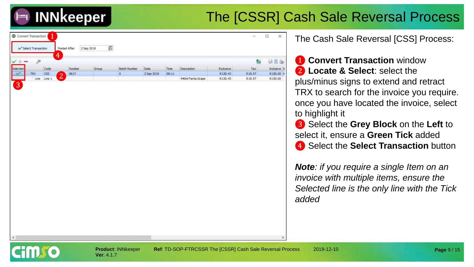#### The [CSSR] Cash Sale Reversal Process



| Select Transaction                              |                          | Posted After              | 2 Sep 2019 |              |            |             |                   |           |        |            |
|-------------------------------------------------|--------------------------|---------------------------|------------|--------------|------------|-------------|-------------------|-----------|--------|------------|
| <b>Course Street</b><br>$\overline{\mathbf{v}}$ | 4<br>$\overline{\sigma}$ |                           |            |              |            |             |                   |           | 雟      | ana        |
| Selected                                        | Code                     | Number.                   | Group      | Batch Number | Date       | <b>Time</b> | Description       | Exclusive | Tax    | Indusive S |
| <b>TRX</b>                                      | <b>CSS</b>               | 9617<br>$\mathbf{\Omega}$ |            |              | 2 Sep 2019 | 08:11       |                   | R130.43   | R19.57 | R150.00    |
|                                                 | Line Line 1              | Æ                         |            |              |            |             | 440ml Fanta Grape | R130.43   | R19.57 | R150.00    |

The Cash Sale Reversal [CSS] Process:

**1 Convert Transaction** window ❷ **Locate & Select**: select the plus/minus signs to extend and retract TRX to search for the invoice you require. once you have located the invoice, select to highlight it

❸ Select the **Grey Block** on the **Left** to select it, ensure a **Green Tick** added **4** Select the **Select Transaction** button

*Note: if you require a single Item on an invoice with multiple items, ensure the Selected line is the only line with the Tick added*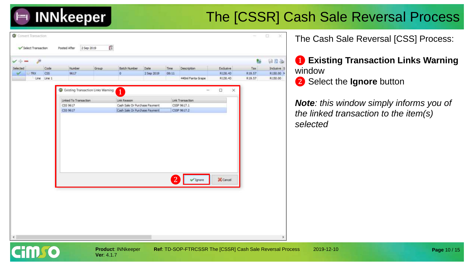#### The [CSSR] Cash Sale Reversal Process

|                             | ₽           |            |                                             |       |                               |            |       |                     |            |           | 每      | 日日と        |
|-----------------------------|-------------|------------|---------------------------------------------|-------|-------------------------------|------------|-------|---------------------|------------|-----------|--------|------------|
| Selected                    |             | Code       | Number.                                     | Group | <b>Batch Number</b>           | Date       | Time  | <b>Description</b>  |            | Exclusive | Tax    | Indusive S |
| $\blacktriangleright$ E TRX |             | <b>CSS</b> | 9617                                        |       | $\alpha$                      | 2 Sep 2019 | 08:11 |                     |            | R130.43   | R19.57 | R150.00 M  |
|                             | Line Line 1 |            | <b>COMPANY</b>                              |       |                               | .          | m     | 440ml Fanta Grape   |            | R130.43   | R19.57 | R150.00    |
|                             |             |            | <b>G</b> Existing Transaction Links Warning |       | $\mathbf{1}$                  |            |       | $\sim$              | $\Box$     | $\times$  |        |            |
|                             |             |            | Linked To Transaction                       |       | Link Reason                   |            |       | Link Transaction    |            |           |        |            |
|                             |             |            | CSS 9617                                    |       | Cash Sale Or Purchase Payment |            |       | CSSP 9617.1         |            |           |        |            |
|                             |             |            | CSS 9617                                    |       | Cash Sale Or Purchase Payment |            |       | CSSP 9617.2         |            |           |        |            |
|                             |             |            |                                             |       |                               |            |       | $\checkmark$ Ignore | $X$ Cancel |           |        |            |

**Ver**: 4.1.7

**Product**: INNkeeper **Ref**: TD-SOP-FTRCSSR The [CSSR] Cash Sale Reversal Process 2019-12-10

The Cash Sale Reversal [CSS] Process:

❶ **Existing Transaction Links Warning**  window ❷ Select the **Ignore** button

*Note: this window simply informs you of the linked transaction to the item(s) selected*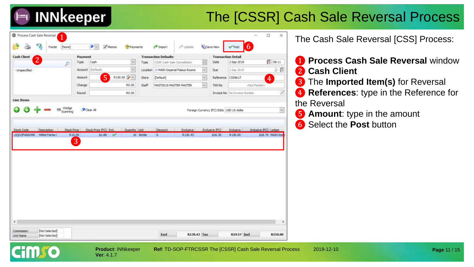#### The [CSSR] Cash Sale Reversal Process

| 43<br>[None]<br>Footer                      | $\bullet$<br>Memos                             | Payments                            | <sup>2</sup> Import                                        | p <sup>p</sup> Update. | <b>G</b> isave New                | 6<br>$\sqrt{$ Post             |                       |
|---------------------------------------------|------------------------------------------------|-------------------------------------|------------------------------------------------------------|------------------------|-----------------------------------|--------------------------------|-----------------------|
| <b>Cash Client</b><br>$\mathbf{2}^{\prime}$ | Payment<br>Type:<br>Cash                       | ×                                   | <b>Transaction Defaults</b><br>CSSR Cash Sale Cancellation |                        | <b>Transaction Detail</b><br>Date | 2 Sep 2019                     | 图 08:11               |
| ₽                                           | Account (Default)                              | Type<br>$\omega$                    | Location Si MAIN Imperial Palace Rooms                     | $\omega$               |                                   |                                |                       |
| - Unspecified -                             | 5<br>Amount                                    | R150.00 2                           |                                                            | $\backsim$             | Due                               | 2 Sep 2019                     | G<br>o.               |
|                                             |                                                | Store<br>R0.00<br><b>Staff</b>      | [Default]                                                  | v.                     | Reference                         | CSS9617                        | $\overline{4}$        |
|                                             | Change                                         |                                     | MASTOO 15 MASTER MASTER.                                   |                        | TXN No                            | <not posted=""></not>          |                       |
| <b>Line Items</b>                           | Round                                          | R0.00                               |                                                            |                        |                                   | Invoice No   No Invoice Number | D                     |
| <b>Rts</b> Wedge                            |                                                |                                     |                                                            |                        |                                   |                                |                       |
|                                             |                                                |                                     |                                                            |                        |                                   |                                |                       |
| Description                                 | <b>Stock Price</b><br>$\overline{\phantom{a}}$ | Stock Price (FC) Ind. Quantity Unit | Discount                                                   | Exclusive              | Exclusive (FC)                    | Inclusive                      | Inclusive (FC) Ledger |
| 440ml Fanta C                               | \$1.88<br>R15.00<br>3                          | 10 Bottle                           | $\circ$                                                    | R130.43                | \$16.30                           | R150.00                        |                       |
|                                             |                                                |                                     |                                                            |                        |                                   |                                |                       |
|                                             |                                                |                                     |                                                            |                        |                                   |                                |                       |
|                                             |                                                |                                     |                                                            |                        |                                   |                                |                       |
|                                             |                                                |                                     |                                                            |                        |                                   |                                | \$18.75 MAIN Imp      |
|                                             |                                                |                                     |                                                            |                        |                                   |                                |                       |
|                                             |                                                |                                     |                                                            |                        |                                   |                                |                       |
|                                             |                                                |                                     |                                                            |                        |                                   |                                |                       |
|                                             |                                                |                                     |                                                            |                        |                                   |                                |                       |
|                                             |                                                |                                     |                                                            |                        |                                   |                                |                       |
| Stock Code<br>LIQCOFANG440<br>$\epsilon$    |                                                |                                     |                                                            |                        |                                   |                                |                       |

**Ver**: 4.1.7

**Product**: INNkeeper **Ref**: TD-SOP-FTRCSSR The [CSSR] Cash Sale Reversal Process 2019-12-10

The Cash Sale Reversal [CSS] Process:

- **Process Cash Sale Reversal** window **Cash Client**
- The **Imported Item(s)** for Reversal

 **References**: type in the Reference for the Reversal

- Amount: type in the amount
- Select the **Post** button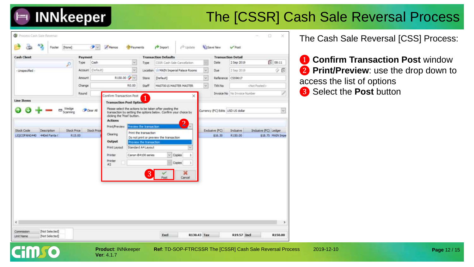#### The [CSSR] Cash Sale Reversal Process

| <b>Cash Chent</b>                                                                       | Payment            |                                                                                         |                                                                                                                            | <b>Transaction Defaults</b>                       |                                                                 |          | <b>Transaction Detail</b> |                                     |                                           |
|-----------------------------------------------------------------------------------------|--------------------|-----------------------------------------------------------------------------------------|----------------------------------------------------------------------------------------------------------------------------|---------------------------------------------------|-----------------------------------------------------------------|----------|---------------------------|-------------------------------------|-------------------------------------------|
| ₽                                                                                       | Cash<br>Type       | $\mathcal{L}$                                                                           | Type                                                                                                                       | CSSR Cash Sale Cancellation                       |                                                                 |          | Date                      | 2 Sep 2019                          | 图 08:11                                   |
| - Unspecified -                                                                         | Account (Default)  | w.                                                                                      |                                                                                                                            |                                                   | Location : MAIN Imperial Palace Rooms                           | $\sim$   | Due                       | 2 Sep 2019                          | 少罪                                        |
|                                                                                         | Amount             | R150.00 %                                                                               | Store                                                                                                                      | [Default]                                         |                                                                 | $\omega$ | Reference CSS9617         |                                     |                                           |
|                                                                                         | Change             | R0.00                                                                                   | Staff                                                                                                                      | MAST0015 MASTER MASTER                            |                                                                 | $\omega$ | TXN No.                   |                                     | <not posted=""></not>                     |
|                                                                                         | Round              |                                                                                         |                                                                                                                            |                                                   |                                                                 |          |                           | <b>Invoice No</b> No Invoice Number |                                           |
| Line Items                                                                              |                    | Confirm Transaction Post                                                                | $\overline{1}$                                                                                                             |                                                   | ×                                                               |          |                           |                                     |                                           |
| Stock Code<br>Description<br><b>Stock Price</b><br>LIQCOFANG440 440ml Fanta (<br>R15.00 | <b>Stock Price</b> | Print/Preview<br>Clearing<br>Output<br>Print Layout<br>Printer<br>Printer<br>$\equiv 2$ | Preview the transaction<br>Print the transaction<br>Preview the transaction.<br>Standard A4 Layout<br>Canon (B4100 series) | Do not print or preview the transaction<br>$\sim$ | $\overline{2}$<br>Copies<br>$\ddot{\phantom{1}}$<br>Copies<br>Ŧ |          | Exclusive (FC)<br>\$15.30 | Industve<br>R150.00                 | Indusive (FC) Ledger<br>\$18.75 MAIN Impe |
|                                                                                         |                    |                                                                                         | 3                                                                                                                          | Post                                              | ×<br>Cancel                                                     |          |                           |                                     |                                           |

**Ver**: 4.1.7

**Product**: INNkeeper **Ref**: TD-SOP-FTRCSSR The [CSSR] Cash Sale Reversal Process 2019-12-10

The Cash Sale Reversal [CSS] Process:

 **Confirm Transaction Post** window Print/Preview: use the drop down to access the list of options Select the **Post** button

**Page** 12 / 15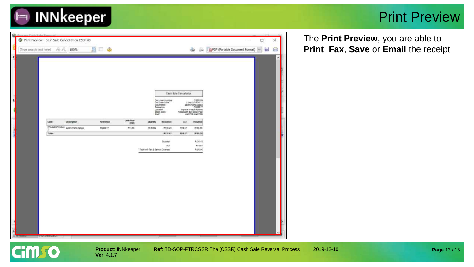

#### Print Preview

|      | T Print Preview - Cash Sale Cancellation CSSR 89 |                       |                                |           |                   |                                  |                                                              |                        |                                                                                |                                | $\sim$ | $\Box$       | × |
|------|--------------------------------------------------|-----------------------|--------------------------------|-----------|-------------------|----------------------------------|--------------------------------------------------------------|------------------------|--------------------------------------------------------------------------------|--------------------------------|--------|--------------|---|
|      | (Type search text here)                          |                       | 100%<br>26.24                  | 51<br>⊟ త |                   |                                  |                                                              |                        | ŵ.<br>۵                                                                        | PDF (Portable Document Format) |        | $\sim$<br>b. | 8 |
| Ġ    |                                                  |                       |                                |           |                   |                                  |                                                              |                        |                                                                                |                                |        |              |   |
|      |                                                  |                       |                                |           |                   |                                  |                                                              |                        |                                                                                |                                |        |              |   |
|      |                                                  |                       |                                |           |                   |                                  |                                                              |                        |                                                                                |                                |        |              |   |
|      |                                                  |                       |                                |           |                   |                                  |                                                              |                        |                                                                                |                                |        |              |   |
|      |                                                  |                       |                                |           |                   |                                  |                                                              |                        |                                                                                |                                |        |              |   |
|      |                                                  |                       |                                |           |                   |                                  |                                                              | Cash Sale Cancellation |                                                                                |                                |        |              |   |
| u    |                                                  |                       |                                |           |                   |                                  | Document number<br>Document date<br>Description<br>Reference |                        | COSK 20<br>440ml Parta Grape                                                   |                                |        |              |   |
| ¢    |                                                  |                       |                                |           |                   | Staff                            | Location<br>Stock store                                      |                        | CS59617<br>Imperial Patace Rooms<br>Restaurant Bar Stock Pool<br>MASTER MASTER |                                |        |              |   |
|      |                                                  | Code                  | <b>Сместрбот</b>               | Returence | <b>LINE Price</b> | <b>Quantity</b>                  | Exclueive                                                    | var                    | <b>Incluitive</b>                                                              |                                |        |              |   |
|      |                                                  |                       | RRUGOOPANGAA 440ml Parta Grape | 0329617   | pncry.<br>M15.00  | 10.5054                          | R130-42                                                      | <b>R19.5T</b>          | R190.00                                                                        |                                |        |              |   |
| E. M |                                                  | Totale                |                                |           |                   |                                  | R130.43                                                      | <b>M15.57</b>          | R150.00                                                                        |                                |        |              |   |
|      |                                                  |                       |                                |           |                   |                                  | Subtotal                                                     |                        | PL130.43                                                                       |                                |        |              |   |
|      |                                                  |                       |                                |           |                   | Total with Tar & Service Charges | VAT                                                          |                        | R19.87<br>R150.00                                                              |                                |        |              |   |
|      |                                                  |                       |                                |           |                   |                                  |                                                              |                        |                                                                                |                                |        |              |   |
|      |                                                  |                       |                                |           |                   |                                  |                                                              |                        |                                                                                |                                |        |              |   |
|      |                                                  |                       |                                |           |                   |                                  |                                                              |                        |                                                                                |                                |        |              |   |
|      |                                                  |                       |                                |           |                   |                                  |                                                              |                        |                                                                                |                                |        |              |   |
|      |                                                  |                       |                                |           |                   |                                  |                                                              |                        |                                                                                |                                |        |              |   |
|      |                                                  |                       |                                |           |                   |                                  |                                                              |                        |                                                                                |                                |        |              |   |
|      |                                                  |                       |                                |           |                   |                                  |                                                              |                        |                                                                                |                                |        |              |   |
|      |                                                  |                       |                                |           |                   |                                  |                                                              |                        |                                                                                |                                |        |              |   |
|      |                                                  |                       |                                |           |                   |                                  |                                                              |                        |                                                                                |                                |        |              |   |
| Ł    |                                                  |                       |                                |           |                   |                                  |                                                              |                        |                                                                                |                                |        |              |   |
|      |                                                  |                       |                                |           |                   |                                  |                                                              |                        |                                                                                |                                |        |              |   |
|      |                                                  | <b>LA PERSONAL DE</b> |                                |           |                   |                                  |                                                              |                        |                                                                                |                                |        |              |   |

The **Print Preview**, you are able to **Print**, **Fax**, **Save** or **Email** the receipt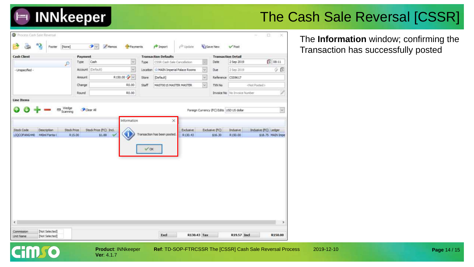

#### The Cash Sale Reversal [CSSR]

| <b>Cash Client</b>                                             | Payment             |                                                 |                 | <b>Transaction Defaults</b>              |                      |          | <b>Transaction Detail</b>                                              |                                     |                                           |                            |
|----------------------------------------------------------------|---------------------|-------------------------------------------------|-----------------|------------------------------------------|----------------------|----------|------------------------------------------------------------------------|-------------------------------------|-------------------------------------------|----------------------------|
| ₽                                                              | Type                | $\sim$<br>Cash                                  | Type            | CSSR Cash Sale Cancellation              |                      | ×        | Date                                                                   | 2 Sep 2019                          | 图 08:11                                   |                            |
| - Unspecified -                                                |                     | $\overline{\phantom{a}}$<br>Account (Default)   |                 | Location Sc MAIN Imperial Palace Rooms   |                      | $\sim$   | Due                                                                    | 2 Sep 2019                          |                                           | $\mathcal{O}$ $\mathbb{C}$ |
|                                                                | Amount:             | R150.00 <sup>2</sup>                            | Store           | [Default]                                |                      | $\omega$ | Reference CSS9617                                                      |                                     |                                           |                            |
|                                                                | Change              | R0.00                                           | Staff           | MASTOO 15 MASTER MASTER                  |                      | $\omega$ | TXN No                                                                 |                                     | clipt Posted>                             |                            |
|                                                                | Round               | R0.00                                           |                 |                                          |                      |          |                                                                        | <b>Invoice No</b> No Invoice Number |                                           | 7                          |
| <b>Line Items</b>                                              |                     |                                                 |                 |                                          |                      |          |                                                                        |                                     |                                           |                            |
|                                                                |                     |                                                 |                 |                                          |                      |          |                                                                        |                                     |                                           |                            |
|                                                                |                     |                                                 |                 |                                          |                      |          |                                                                        |                                     |                                           |                            |
| ms Wedge<br><b>Stock Price</b><br>Description<br>440ml Fanta C | Clear All<br>R15.00 | Information<br>Stock Price (FC) Incl.<br>\$1.88 | $\sqrt{\alpha}$ | $\times$<br>Transaction has been posted. | Exclusive<br>R130.43 |          | Foreign Currency (FC) Edits USD US dollar<br>Exclusive (FC)<br>\$16.30 | Industre<br>R150.00                 | Indusive (FC) Ledger<br>\$18.75 MAIN Impe | $\checkmark$               |
|                                                                |                     |                                                 |                 |                                          |                      |          |                                                                        |                                     |                                           |                            |
|                                                                |                     |                                                 |                 |                                          |                      |          |                                                                        |                                     |                                           |                            |
| Stock Code<br>LIQCOFANG440                                     |                     |                                                 |                 |                                          |                      |          |                                                                        |                                     |                                           |                            |

The **Information** window; confirming the Transaction has successfully posted